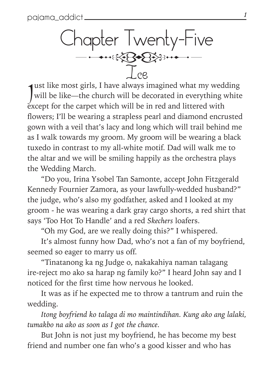$\frac{10pt}{1}$ Chapter Twenty-Five Ice

ust like most girls, I have always imagined what my wedding will be like—the church will be decorated in everything white<br>went for the cernot which will be in red and littered with except for the carpet which will be in red and littered with flowers; I'll be wearing a strapless pearl and diamond encrusted gown with a veil that's lacy and long which will trail behind me as I walk towards my groom. My groom will be wearing a black tuxedo in contrast to my all-white motif. Dad will walk me to the altar and we will be smiling happily as the orchestra plays the Wedding March.

"Do you, Irina Ysobel Tan Samonte, accept John Fitzgerald Kennedy Fournier Zamora, as your lawfully-wedded husband?" the judge, who's also my godfather, asked and I looked at my groom - he was wearing a dark gray cargo shorts, a red shirt that says 'Too Hot To Handle' and a red *Skechers* loafers.

"Oh my God, are we really doing this?" I whispered.

It's almost funny how Dad, who's not a fan of my boyfriend, seemed so eager to marry us off.

"Tinatanong ka ng Judge o, nakakahiya naman talagang ire-reject mo ako sa harap ng family ko?" I heard John say and I noticed for the first time how nervous he looked.

It was as if he expected me to throw a tantrum and ruin the wedding.

*Itong boyfriend ko talaga di mo maintindihan. Kung ako ang lalaki, tumakbo na ako as soon as I got the chance.*

But John is not just my boyfriend, he has become my best friend and number one fan who's a good kisser and who has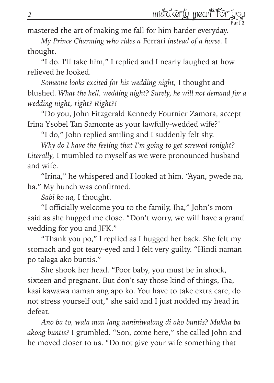Part 2

mastered the art of making me fall for him harder everyday.

*My Prince Charming who rides a* Ferrari *instead of a horse.* I thought.

"I do. I'll take him," I replied and I nearly laughed at how relieved he looked.

*Someone looks excited for his wedding night,* I thought and blushed. *What the hell, wedding night? Surely, he will not demand for a wedding night, right? Right?!*

"Do you, John Fitzgerald Kennedy Fournier Zamora, accept Irina Ysobel Tan Samonte as your lawfully-wedded wife?'

"I do," John replied smiling and I suddenly felt shy.

*Why do I have the feeling that I'm going to get screwed tonight? Literally,* I mumbled to myself as we were pronounced husband and wife.

"Irina," he whispered and I looked at him. "Ayan, pwede na, ha." My hunch was confirmed.

*Sabi ko na,* I thought.

"I officially welcome you to the family, Iha," John's mom said as she hugged me close. "Don't worry, we will have a grand wedding for you and JFK."

"Thank you po," I replied as I hugged her back. She felt my stomach and got teary-eyed and I felt very guilty. "Hindi naman po talaga ako buntis."

She shook her head. "Poor baby, you must be in shock, sixteen and pregnant. But don't say those kind of things, Iha, kasi kawawa naman ang apo ko. You have to take extra care, do not stress yourself out," she said and I just nodded my head in defeat.

*Ano ba to, wala man lang naniniwalang di ako buntis? Mukha ba akong buntis?* I grumbled. "Son, come here," she called John and he moved closer to us. "Do not give your wife something that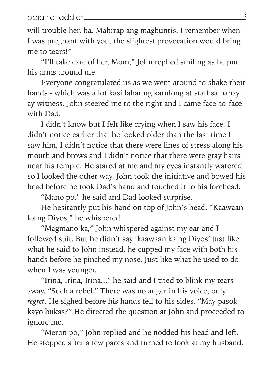will trouble her, ha. Mahirap ang magbuntis. I remember when I was pregnant with you, the slightest provocation would bring me to tears!"

"I'll take care of her, Mom," John replied smiling as he put his arms around me.

Everyone congratulated us as we went around to shake their hands - which was a lot kasi lahat ng katulong at staff sa bahay ay witness. John steered me to the right and I came face-to-face with Dad.

I didn't know but I felt like crying when I saw his face. I didn't notice earlier that he looked older than the last time I saw him, I didn't notice that there were lines of stress along his mouth and brows and I didn't notice that there were gray hairs near his temple. He stared at me and my eyes instantly watered so I looked the other way. John took the initiative and bowed his head before he took Dad's hand and touched it to his forehead.

"Mano po," he said and Dad looked surprise.

He hesitantly put his hand on top of John's head. "Kaawaan ka ng Diyos," he whispered.

"Magmano ka," John whispered against my ear and I followed suit. But he didn't say 'kaawaan ka ng Diyos' just like what he said to John instead, he cupped my face with both his hands before he pinched my nose. Just like what he used to do when I was younger.

"Irina, Irina, Irina..." he said and I tried to blink my tears away. "Such a rebel." There was no anger in his voice, only *regret*. He sighed before his hands fell to his sides. "May pasok kayo bukas?" He directed the question at John and proceeded to ignore me.

"Meron po," John replied and he nodded his head and left. He stopped after a few paces and turned to look at my husband.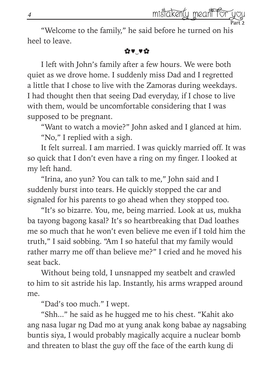Part 2

"Welcome to the family," he said before he turned on his heel to leave.

## ✿♥‿♥✿

I left with John's family after a few hours. We were both quiet as we drove home. I suddenly miss Dad and I regretted a little that I chose to live with the Zamoras during weekdays. I had thought then that seeing Dad everyday, if I chose to live with them, would be uncomfortable considering that I was supposed to be pregnant.

"Want to watch a movie?" John asked and I glanced at him. "No," I replied with a sigh.

It felt surreal. I am married. I was quickly married off. It was so quick that I don't even have a ring on my finger. I looked at my left hand.

"Irina, ano yun? You can talk to me," John said and I suddenly burst into tears. He quickly stopped the car and signaled for his parents to go ahead when they stopped too.

"It's so bizarre. You, me, being married. Look at us, mukha ba tayong bagong kasal? It's so heartbreaking that Dad loathes me so much that he won't even believe me even if I told him the truth," I said sobbing. "Am I so hateful that my family would rather marry me off than believe me?" I cried and he moved his seat back.

Without being told, I unsnapped my seatbelt and crawled to him to sit astride his lap. Instantly, his arms wrapped around me.

"Dad's too much." I wept.

"Shh..." he said as he hugged me to his chest. "Kahit ako ang nasa lugar ng Dad mo at yung anak kong babae ay nagsabing buntis siya, I would probably magically acquire a nuclear bomb and threaten to blast the guy off the face of the earth kung di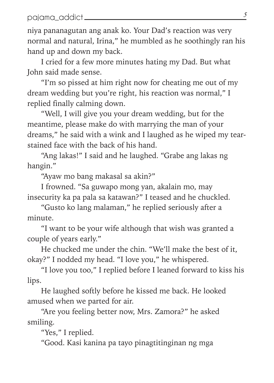niya pananagutan ang anak ko. Your Dad's reaction was very normal and natural, Irina," he mumbled as he soothingly ran his hand up and down my back.

I cried for a few more minutes hating my Dad. But what John said made sense.

"I'm so pissed at him right now for cheating me out of my dream wedding but you're right, his reaction was normal," I replied finally calming down.

"Well, I will give you your dream wedding, but for the meantime, please make do with marrying the man of your dreams," he said with a wink and I laughed as he wiped my tearstained face with the back of his hand.

"Ang lakas!" I said and he laughed. "Grabe ang lakas ng hangin."

"Ayaw mo bang makasal sa akin?"

I frowned. "Sa guwapo mong yan, akalain mo, may insecurity ka pa pala sa katawan?" I teased and he chuckled.

"Gusto ko lang malaman," he replied seriously after a minute.

"I want to be your wife although that wish was granted a couple of years early."

He chucked me under the chin. "We'll make the best of it, okay?" I nodded my head. "I love you," he whispered.

"I love you too," I replied before I leaned forward to kiss his lips.

He laughed softly before he kissed me back. He looked amused when we parted for air.

"Are you feeling better now, Mrs. Zamora?" he asked smiling.

"Yes," I replied.

"Good. Kasi kanina pa tayo pinagtitinginan ng mga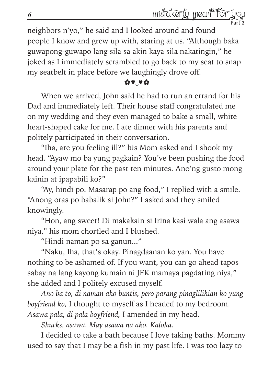Part 2

neighbors n'yo," he said and I looked around and found people I know and grew up with, staring at us. "Although baka guwapong-guwapo lang sila sa akin kaya sila nakatingin," he joked as I immediately scrambled to go back to my seat to snap my seatbelt in place before we laughingly drove off.

## ✿♥‿♥✿

When we arrived, John said he had to run an errand for his Dad and immediately left. Their house staff congratulated me on my wedding and they even managed to bake a small, white heart-shaped cake for me. I ate dinner with his parents and politely participated in their conversation.

"Iha, are you feeling ill?" his Mom asked and I shook my head. "Ayaw mo ba yung pagkain? You've been pushing the food around your plate for the past ten minutes. Ano'ng gusto mong kainin at ipapabili ko?"

"Ay, hindi po. Masarap po ang food," I replied with a smile. "Anong oras po babalik si John?" I asked and they smiled knowingly.

"Hon, ang sweet! Di makakain si Irina kasi wala ang asawa niya," his mom chortled and I blushed.

"Hindi naman po sa ganun..."

"Naku, Iha, that's okay. Pinagdaanan ko yan. You have nothing to be ashamed of. If you want, you can go ahead tapos sabay na lang kayong kumain ni JFK mamaya pagdating niya," she added and I politely excused myself.

*Ano ba to, di naman ako buntis, pero parang pinaglilihian ko yung boyfriend ko,* I thought to myself as I headed to my bedroom. *Asawa pala, di pala boyfriend,* I amended in my head.

*Shucks, asawa. May asawa na ako. Kaloka.*

I decided to take a bath because I love taking baths. Mommy used to say that I may be a fish in my past life. I was too lazy to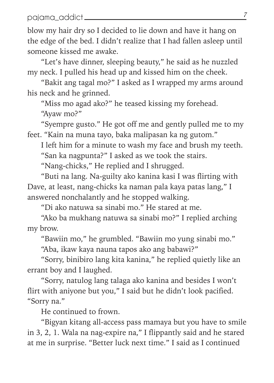blow my hair dry so I decided to lie down and have it hang on the edge of the bed. I didn't realize that I had fallen asleep until someone kissed me awake.

"Let's have dinner, sleeping beauty," he said as he nuzzled my neck. I pulled his head up and kissed him on the cheek.

"Bakit ang tagal mo?" I asked as I wrapped my arms around his neck and he grinned.

"Miss mo agad ako?" he teased kissing my forehead. "Ayaw mo?"

"Syempre gusto." He got off me and gently pulled me to my feet. "Kain na muna tayo, baka malipasan ka ng gutom."

I left him for a minute to wash my face and brush my teeth. "San ka nagpunta?" I asked as we took the stairs.

"Nang-chicks," He replied and I shrugged.

"Buti na lang. Na-guilty ako kanina kasi I was flirting with Dave, at least, nang-chicks ka naman pala kaya patas lang," I answered nonchalantly and he stopped walking.

"Di ako natuwa sa sinabi mo." He stared at me.

"Ako ba mukhang natuwa sa sinabi mo?" I replied arching my brow.

"Bawiin mo," he grumbled. "Bawiin mo yung sinabi mo."

"Aba, ikaw kaya nauna tapos ako ang babawi?"

"Sorry, binibiro lang kita kanina," he replied quietly like an errant boy and I laughed.

"Sorry, natulog lang talaga ako kanina and besides I won't flirt with aniyone but you," I said but he didn't look pacified. "Sorry na."

He continued to frown.

"Bigyan kitang all-access pass mamaya but you have to smile in 3, 2, 1. Wala na nag-expire na," I flippantly said and he stared at me in surprise. "Better luck next time." I said as I continued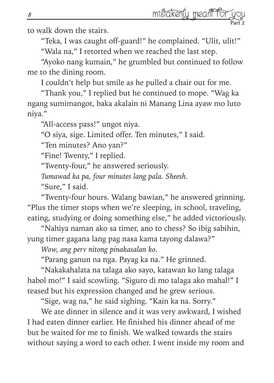to walk down the stairs.

"Teka, I was caught off-guard!" he complained. "Ulit, ulit!" "Wala na," I retorted when we reached the last step.

"Ayoko nang kumain," he grumbled but continued to follow me to the dining room.

I couldn't help but smile as he pulled a chair out for me.

"Thank you," I replied but he continued to mope. "Wag ka ngang sumimangot, baka akalain ni Manang Lina ayaw mo luto niya."

"All-access pass!" ungot niya.

"O siya, sige. Limited offer. Ten minutes," I said.

"Ten minutes? Ano yan?"

"Fine! Twenty," I replied.

"Twenty-four," he answered seriously.

*Tumawad ka pa, four minutes lang pala. Sheesh.*

"Sure," I said.

"Twenty-four hours. Walang bawian," he answered grinning. "Plus the timer stops when we're sleeping, in school, traveling, eating, studying or doing something else," he added victoriously.

"Nahiya naman ako sa timer, ano to chess? So ibig sabihin, yung timer gagana lang pag nasa kama tayong dalawa?"

*Wow, ang perv nitong pinakasalan ko.*

"Parang ganun na nga. Payag ka na." He grinned.

"Nakakahalata na talaga ako sayo, katawan ko lang talaga habol mo!" I said scowling. "Siguro di mo talaga ako mahal!" I teased but his expression changed and he grew serious.

"Sige, wag na," he said sighing. "Kain ka na. Sorry."

We ate dinner in silence and it was very awkward, I wished I had eaten dinner earlier. He finished his dinner ahead of me but he waited for me to finish. We walked towards the stairs without saying a word to each other. I went inside my room and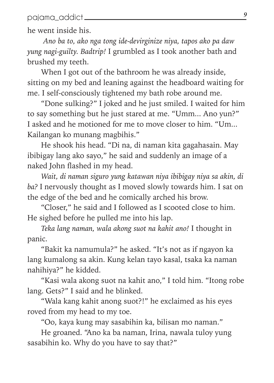he went inside his.

 *Ano ba to, ako nga tong ide-devirginize niya, tapos ako pa daw yung nagi-guilty. Badtrip!* I grumbled as I took another bath and brushed my teeth.

When I got out of the bathroom he was already inside, sitting on my bed and leaning against the headboard waiting for me. I self-consciously tightened my bath robe around me.

"Done sulking?" I joked and he just smiled. I waited for him to say something but he just stared at me. "Umm... Ano yun?" I asked and he motioned for me to move closer to him. "Um... Kailangan ko munang magbihis."

He shook his head. "Di na, di naman kita gagahasain. May ibibigay lang ako sayo," he said and suddenly an image of a naked John flashed in my head.

*Wait, di naman siguro yung katawan niya ibibigay niya sa akin, di ba?* I nervously thought as I moved slowly towards him. I sat on the edge of the bed and he comically arched his brow.

"Closer," he said and I followed as I scooted close to him. He sighed before he pulled me into his lap.

*Teka lang naman, wala akong suot na kahit ano!* I thought in panic.

"Bakit ka namumula?" he asked. "It's not as if ngayon ka lang kumalong sa akin. Kung kelan tayo kasal, tsaka ka naman nahihiya?" he kidded.

"Kasi wala akong suot na kahit ano," I told him. "Itong robe lang. Gets?" I said and he blinked.

"Wala kang kahit anong suot?!" he exclaimed as his eyes roved from my head to my toe.

"Oo, kaya kung may sasabihin ka, bilisan mo naman."

He groaned. "Ano ka ba naman, Irina, nawala tuloy yung sasabihin ko. Why do you have to say that?"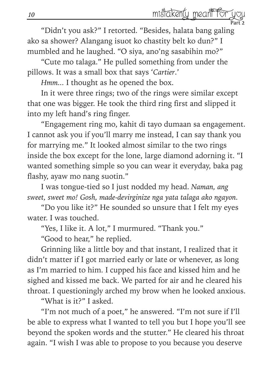Part 2 "Didn't you ask?" I retorted. "Besides, halata bang galing ako sa shower? Alangang isuot ko chastity belt ko dun?" I mumbled and he laughed. "O siya, ano'ng sasabihin mo?"

"Cute mo talaga." He pulled something from under the pillows. It was a small box that says '*Cartier*.'

*Hmm...* I thought as he opened the box.

In it were three rings; two of the rings were similar except that one was bigger. He took the third ring first and slipped it into my left hand's ring finger.

"Engagement ring mo, kahit di tayo dumaan sa engagement. I cannot ask you if you'll marry me instead, I can say thank you for marrying me." It looked almost similar to the two rings inside the box except for the lone, large diamond adorning it. "I wanted something simple so you can wear it everyday, baka pag flashy, ayaw mo nang suotin."

I was tongue-tied so I just nodded my head. *Naman, ang sweet, sweet mo! Gosh, made-devirginize nga yata talaga ako ngayon.*

"Do you like it?" He sounded so unsure that I felt my eyes water. I was touched.

"Yes, I like it. A lot," I murmured. "Thank you."

"Good to hear," he replied.

Grinning like a little boy and that instant, I realized that it didn't matter if I got married early or late or whenever, as long as I'm married to him. I cupped his face and kissed him and he sighed and kissed me back. We parted for air and he cleared his throat. I questioningly arched my brow when he looked anxious.

"What is it?" I asked.

"I'm not much of a poet," he answered. "I'm not sure if I'll be able to express what I wanted to tell you but I hope you'll see beyond the spoken words and the stutter." He cleared his throat again. "I wish I was able to propose to you because you deserve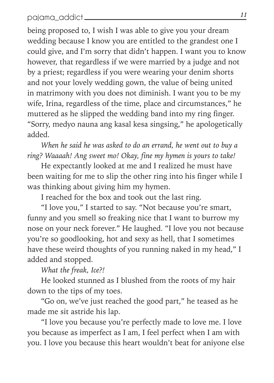being proposed to, I wish I was able to give you your dream wedding because I know you are entitled to the grandest one I could give, and I'm sorry that didn't happen. I want you to know however, that regardless if we were married by a judge and not by a priest; regardless if you were wearing your denim shorts and not your lovely wedding gown, the value of being united in matrimony with you does not diminish. I want you to be my wife, Irina, regardless of the time, place and circumstances," he muttered as he slipped the wedding band into my ring finger. "Sorry, medyo nauna ang kasal kesa singsing," he apologetically added.

*When he said he was asked to do an errand, he went out to buy a ring? Waaaah! Ang sweet mo! Okay, fine my hymen is yours to take!*

He expectantly looked at me and I realized he must have been waiting for me to slip the other ring into his finger while I was thinking about giving him my hymen.

I reached for the box and took out the last ring.

"I love you," I started to say. "Not because you're smart, funny and you smell so freaking nice that I want to burrow my nose on your neck forever." He laughed. "I love you not because you're so goodlooking, hot and sexy as hell, that I sometimes have these weird thoughts of you running naked in my head," I added and stopped.

*What the freak, Ice?!*

He looked stunned as I blushed from the roots of my hair down to the tips of my toes.

"Go on, we've just reached the good part," he teased as he made me sit astride his lap.

"I love you because you're perfectly made to love me. I love you because as imperfect as I am, I feel perfect when I am with you. I love you because this heart wouldn't beat for aniyone else